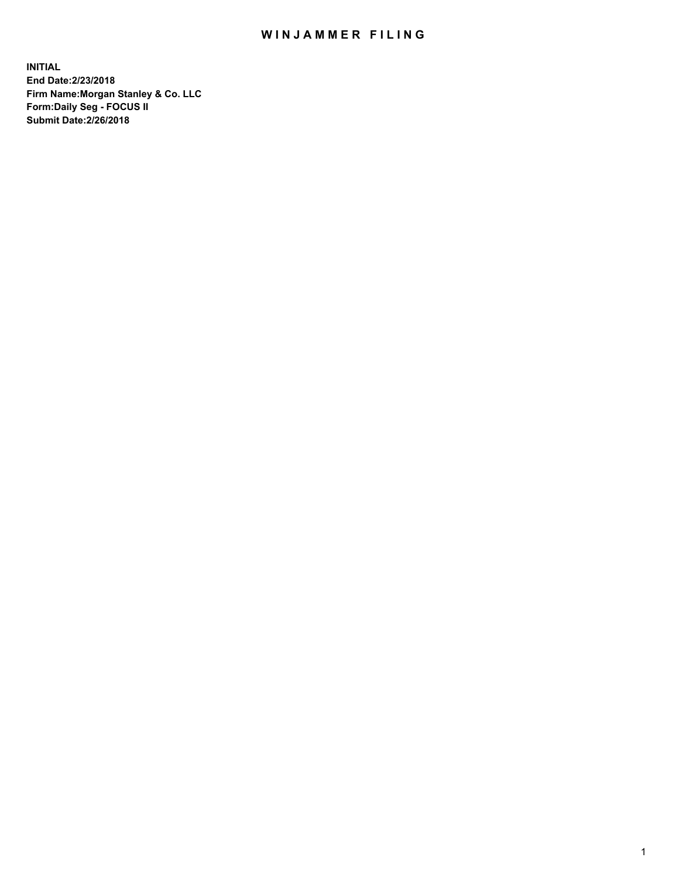## WIN JAMMER FILING

**INITIAL End Date:2/23/2018 Firm Name:Morgan Stanley & Co. LLC Form:Daily Seg - FOCUS II Submit Date:2/26/2018**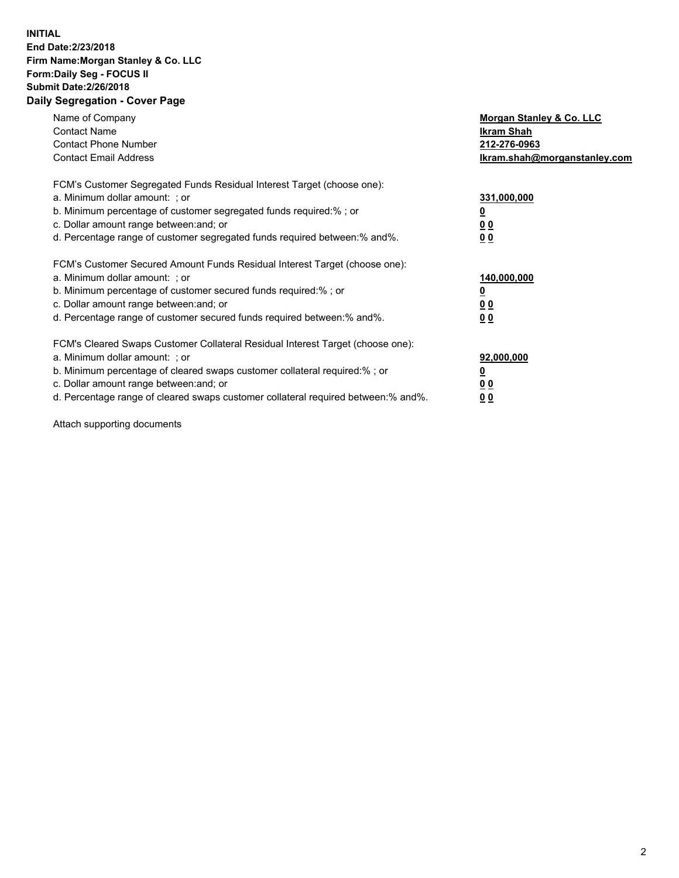## **INITIAL End Date:2/23/2018 Firm Name:Morgan Stanley & Co. LLC Form:Daily Seg - FOCUS II Submit Date:2/26/2018 Daily Segregation - Cover Page**

| Name of Company<br><b>Contact Name</b><br><b>Contact Phone Number</b><br><b>Contact Email Address</b>                                                                                                                                                                                                                          | Morgan Stanley & Co. LLC<br>Ikram Shah<br>212-276-0963<br>lkram.shah@morganstanley.com |
|--------------------------------------------------------------------------------------------------------------------------------------------------------------------------------------------------------------------------------------------------------------------------------------------------------------------------------|----------------------------------------------------------------------------------------|
| FCM's Customer Segregated Funds Residual Interest Target (choose one):<br>a. Minimum dollar amount: ; or<br>b. Minimum percentage of customer segregated funds required:%; or<br>c. Dollar amount range between: and; or<br>d. Percentage range of customer segregated funds required between: % and %.                        | 331,000,000<br>0 <sub>0</sub><br>00                                                    |
| FCM's Customer Secured Amount Funds Residual Interest Target (choose one):<br>a. Minimum dollar amount: ; or<br>b. Minimum percentage of customer secured funds required:%; or<br>c. Dollar amount range between: and; or<br>d. Percentage range of customer secured funds required between:% and%.                            | 140,000,000<br>0 <sub>0</sub><br>0 <sub>0</sub>                                        |
| FCM's Cleared Swaps Customer Collateral Residual Interest Target (choose one):<br>a. Minimum dollar amount: ; or<br>b. Minimum percentage of cleared swaps customer collateral required:% ; or<br>c. Dollar amount range between: and; or<br>d. Percentage range of cleared swaps customer collateral required between:% and%. | 92,000,000<br>0 <sub>0</sub><br>0 <sub>0</sub>                                         |

Attach supporting documents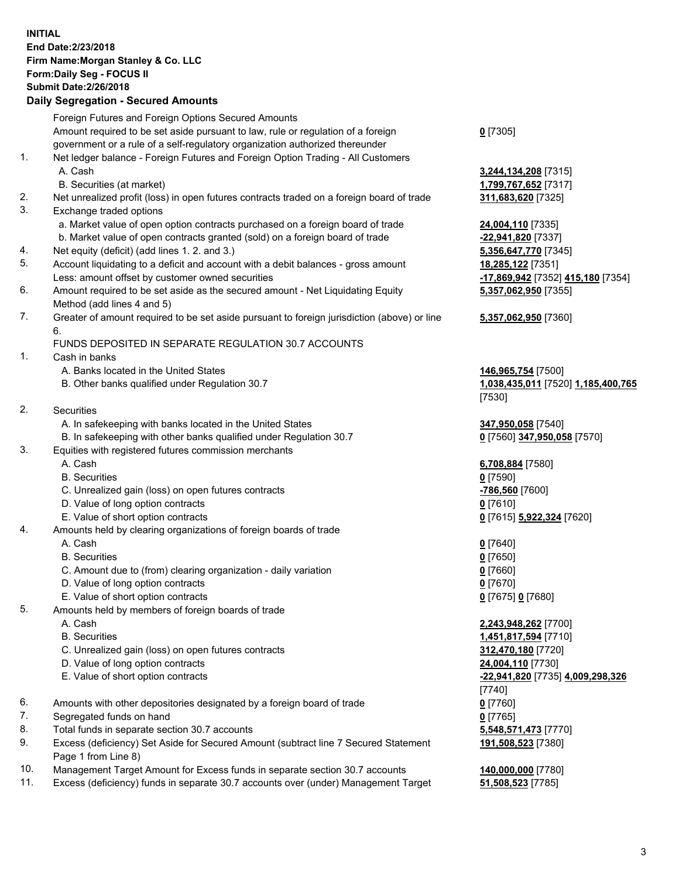## **INITIAL End Date:2/23/2018 Firm Name:Morgan Stanley & Co. LLC Form:Daily Seg - FOCUS II Submit Date:2/26/2018 Daily Segregation - Secured Amounts**

Foreign Futures and Foreign Options Secured Amounts Amount required to be set aside pursuant to law, rule or regulation of a foreign government or a rule of a self-regulatory organization authorized thereunder 1. Net ledger balance - Foreign Futures and Foreign Option Trading - All Customers A. Cash **3,244,134,208** [7315] B. Securities (at market) **1,799,767,652** [7317] 2. Net unrealized profit (loss) in open futures contracts traded on a foreign board of trade **311,683,620** [7325] 3. Exchange traded options a. Market value of open option contracts purchased on a foreign board of trade **24,004,110** [7335] b. Market value of open contracts granted (sold) on a foreign board of trade **-22,941,820** [7337] 4. Net equity (deficit) (add lines 1. 2. and 3.) **5,356,647,770** [7345] 5. Account liquidating to a deficit and account with a debit balances - gross amount **18,285,122** [7351] Less: amount offset by customer owned securities **-17,869,942** [7352] **415,180** [7354] 6. Amount required to be set aside as the secured amount - Net Liquidating Equity Method (add lines 4 and 5) 7. Greater of amount required to be set aside pursuant to foreign jurisdiction (above) or line 6. FUNDS DEPOSITED IN SEPARATE REGULATION 30.7 ACCOUNTS 1. Cash in banks A. Banks located in the United States **146,965,754** [7500] B. Other banks qualified under Regulation 30.7 **1,038,435,011** [7520] **1,185,400,765** 2. Securities A. In safekeeping with banks located in the United States **347,950,058** [7540] B. In safekeeping with other banks qualified under Regulation 30.7 **0** [7560] **347,950,058** [7570] 3. Equities with registered futures commission merchants A. Cash **6,708,884** [7580] B. Securities **0** [7590] C. Unrealized gain (loss) on open futures contracts **-786,560** [7600] D. Value of long option contracts **0** [7610] E. Value of short option contracts **0** [7615] **5,922,324** [7620] 4. Amounts held by clearing organizations of foreign boards of trade A. Cash **0** [7640] B. Securities **0** [7650] C. Amount due to (from) clearing organization - daily variation **0** [7660] D. Value of long option contracts **0** [7670] E. Value of short option contracts **0** [7675] **0** [7680] 5. Amounts held by members of foreign boards of trade A. Cash **2,243,948,262** [7700] B. Securities **1,451,817,594** [7710]

- 
- C. Unrealized gain (loss) on open futures contracts **312,470,180** [7720]
- D. Value of long option contracts **24,004,110** [7730]
- 
- 6. Amounts with other depositories designated by a foreign board of trade **0** [7760]
- 7. Segregated funds on hand **0** [7765]
- 8. Total funds in separate section 30.7 accounts **5,548,571,473** [7770]
- 9. Excess (deficiency) Set Aside for Secured Amount (subtract line 7 Secured Statement Page 1 from Line 8)
- 10. Management Target Amount for Excess funds in separate section 30.7 accounts **140,000,000** [7780]
- 11. Excess (deficiency) funds in separate 30.7 accounts over (under) Management Target **51,508,523** [7785]

**0** [7305]

**5,357,062,950** [7355]

## **5,357,062,950** [7360]

[7530]

 E. Value of short option contracts **-22,941,820** [7735] **4,009,298,326** [7740] **191,508,523** [7380]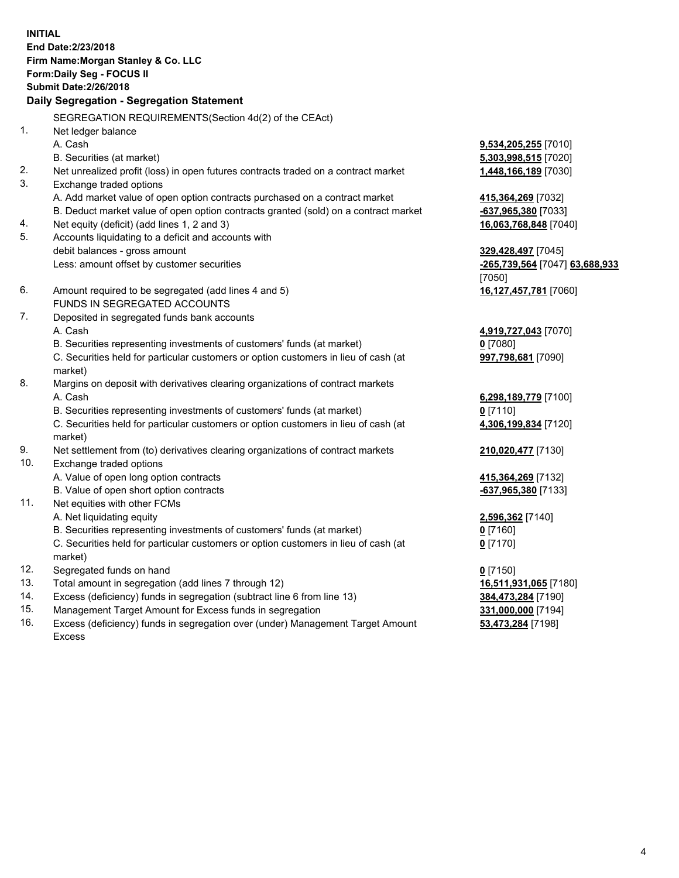**INITIAL End Date:2/23/2018 Firm Name:Morgan Stanley & Co. LLC Form:Daily Seg - FOCUS II Submit Date:2/26/2018 Daily Segregation - Segregation Statement** SEGREGATION REQUIREMENTS(Section 4d(2) of the CEAct) 1. Net ledger balance A. Cash **9,534,205,255** [7010] B. Securities (at market) **5,303,998,515** [7020] 2. Net unrealized profit (loss) in open futures contracts traded on a contract market **1,448,166,189** [7030] 3. Exchange traded options A. Add market value of open option contracts purchased on a contract market **415,364,269** [7032] B. Deduct market value of open option contracts granted (sold) on a contract market **-637,965,380** [7033] 4. Net equity (deficit) (add lines 1, 2 and 3) **16,063,768,848** [7040] 5. Accounts liquidating to a deficit and accounts with debit balances - gross amount **329,428,497** [7045] Less: amount offset by customer securities **-265,739,564** [7047] **63,688,933** [7050] 6. Amount required to be segregated (add lines 4 and 5) **16,127,457,781** [7060] FUNDS IN SEGREGATED ACCOUNTS 7. Deposited in segregated funds bank accounts A. Cash **4,919,727,043** [7070] B. Securities representing investments of customers' funds (at market) **0** [7080] C. Securities held for particular customers or option customers in lieu of cash (at market) **997,798,681** [7090] 8. Margins on deposit with derivatives clearing organizations of contract markets A. Cash **6,298,189,779** [7100] B. Securities representing investments of customers' funds (at market) **0** [7110] C. Securities held for particular customers or option customers in lieu of cash (at market) **4,306,199,834** [7120] 9. Net settlement from (to) derivatives clearing organizations of contract markets **210,020,477** [7130] 10. Exchange traded options A. Value of open long option contracts **415,364,269** [7132] B. Value of open short option contracts **-637,965,380** [7133] 11. Net equities with other FCMs A. Net liquidating equity **2,596,362** [7140] B. Securities representing investments of customers' funds (at market) **0** [7160] C. Securities held for particular customers or option customers in lieu of cash (at market) **0** [7170] 12. Segregated funds on hand **0** [7150] 13. Total amount in segregation (add lines 7 through 12) **16,511,931,065** [7180] 14. Excess (deficiency) funds in segregation (subtract line 6 from line 13) **384,473,284** [7190]

- 15. Management Target Amount for Excess funds in segregation **331,000,000** [7194]
- 16. Excess (deficiency) funds in segregation over (under) Management Target Amount Excess

**53,473,284** [7198]